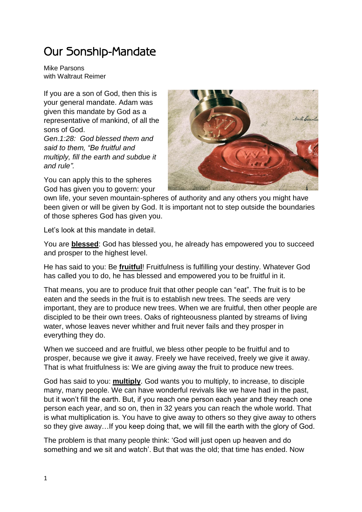## Our Sonship-Mandate

Mike Parsons with Waltraut Reimer

If you are a son of God, then this is your general mandate. Adam was given this mandate by God as a representative of mankind, of all the sons of God.

*Gen.1:28: God blessed them and said to them, "Be fruitful and multiply, fill the earth and subdue it and rule".* 

You can apply this to the spheres God has given you to govern: your



own life, your seven mountain-spheres of authority and any others you might have been given or will be given by God. It is important not to step outside the boundaries of those spheres God has given you.

Let's look at this mandate in detail.

You are **blessed**: God has blessed you, he already has empowered you to succeed and prosper to the highest level.

He has said to you: Be **fruitful**! Fruitfulness is fulfilling your destiny. Whatever God has called you to do, he has blessed and empowered you to be fruitful in it.

That means, you are to produce fruit that other people can "eat". The fruit is to be eaten and the seeds in the fruit is to establish new trees. The seeds are very important, they are to produce new trees. When we are fruitful, then other people are discipled to be their own trees. Oaks of righteousness planted by streams of living water, whose leaves never whither and fruit never fails and they prosper in everything they do.

When we succeed and are fruitful, we bless other people to be fruitful and to prosper, because we give it away. Freely we have received, freely we give it away. That is what fruitfulness is: We are giving away the fruit to produce new trees.

God has said to you: **multiply**. God wants you to multiply, to increase, to disciple many, many people. We can have wonderful revivals like we have had in the past, but it won't fill the earth. But, if you reach one person each year and they reach one person each year, and so on, then in 32 years you can reach the whole world. That is what multiplication is. You have to give away to others so they give away to others so they give away…If you keep doing that, we will fill the earth with the glory of God.

The problem is that many people think: 'God will just open up heaven and do something and we sit and watch'. But that was the old; that time has ended. Now